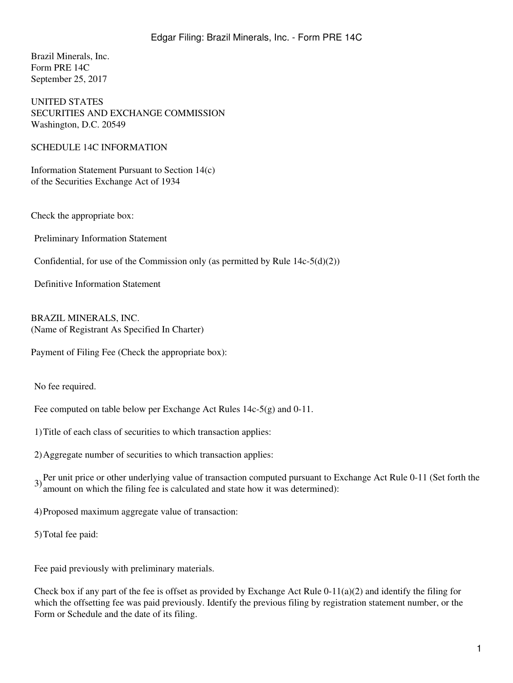Brazil Minerals, Inc. Form PRE 14C September 25, 2017

UNITED STATES SECURITIES AND EXCHANGE COMMISSION Washington, D.C. 20549

SCHEDULE 14C INFORMATION

Information Statement Pursuant to Section 14(c) of the Securities Exchange Act of 1934

Check the appropriate box:

Preliminary Information Statement

Confidential, for use of the Commission only (as permitted by Rule  $14c-5(d)(2)$ )

Definitive Information Statement

BRAZIL MINERALS, INC. (Name of Registrant As Specified In Charter)

Payment of Filing Fee (Check the appropriate box):

No fee required.

Fee computed on table below per Exchange Act Rules 14c-5(g) and 0-11.

1)Title of each class of securities to which transaction applies:

2)Aggregate number of securities to which transaction applies:

3) Per unit price or other underlying value of transaction computed pursuant to Exchange Act Rule 0-11 (Set forth the amount on which the filing fee is calculated and state how it was determined):

4)Proposed maximum aggregate value of transaction:

5)Total fee paid:

Fee paid previously with preliminary materials.

Check box if any part of the fee is offset as provided by Exchange Act Rule 0-11(a)(2) and identify the filing for which the offsetting fee was paid previously. Identify the previous filing by registration statement number, or the Form or Schedule and the date of its filing.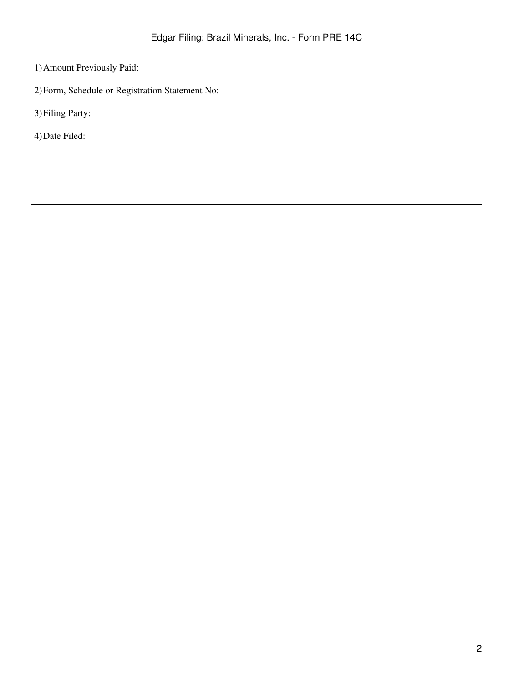- 1)Amount Previously Paid:
- 2)Form, Schedule or Registration Statement No:
- 3)Filing Party:
- 4)Date Filed: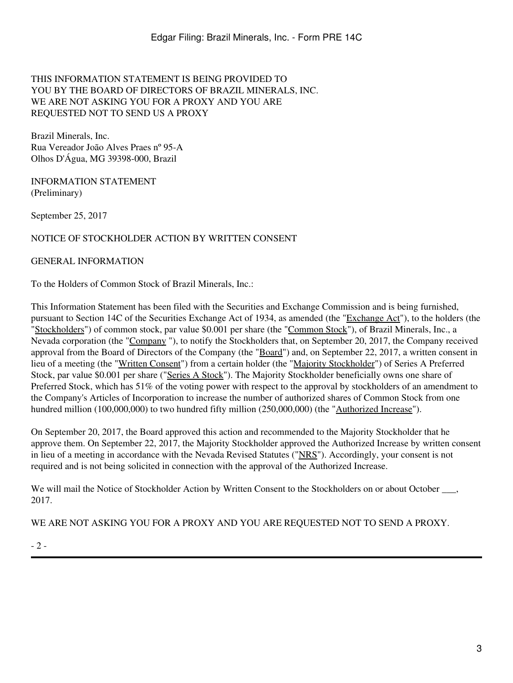## THIS INFORMATION STATEMENT IS BEING PROVIDED TO YOU BY THE BOARD OF DIRECTORS OF BRAZIL MINERALS, INC. WE ARE NOT ASKING YOU FOR A PROXY AND YOU ARE REQUESTED NOT TO SEND US A PROXY

Brazil Minerals, Inc. Rua Vereador João Alves Praes nº 95-A Olhos D'Água, MG 39398-000, Brazil

INFORMATION STATEMENT (Preliminary)

September 25, 2017

### NOTICE OF STOCKHOLDER ACTION BY WRITTEN CONSENT

#### GENERAL INFORMATION

To the Holders of Common Stock of Brazil Minerals, Inc.:

This Information Statement has been filed with the Securities and Exchange Commission and is being furnished, pursuant to Section 14C of the Securities Exchange Act of 1934, as amended (the "Exchange Act"), to the holders (the "Stockholders") of common stock, par value \$0.001 per share (the "Common Stock"), of Brazil Minerals, Inc., a Nevada corporation (the "Company "), to notify the Stockholders that, on September 20, 2017, the Company received approval from the Board of Directors of the Company (the "Board") and, on September 22, 2017, a written consent in lieu of a meeting (the "Written Consent") from a certain holder (the "Majority Stockholder") of Series A Preferred Stock, par value \$0.001 per share ("Series A Stock"). The Majority Stockholder beneficially owns one share of Preferred Stock, which has 51% of the voting power with respect to the approval by stockholders of an amendment to the Company's Articles of Incorporation to increase the number of authorized shares of Common Stock from one hundred million (100,000,000) to two hundred fifty million (250,000,000) (the "Authorized Increase").

On September 20, 2017, the Board approved this action and recommended to the Majority Stockholder that he approve them. On September 22, 2017, the Majority Stockholder approved the Authorized Increase by written consent in lieu of a meeting in accordance with the Nevada Revised Statutes ("NRS"). Accordingly, your consent is not required and is not being solicited in connection with the approval of the Authorized Increase.

We will mail the Notice of Stockholder Action by Written Consent to the Stockholders on or about October, 2017.

WE ARE NOT ASKING YOU FOR A PROXY AND YOU ARE REQUESTED NOT TO SEND A PROXY.

- 2 -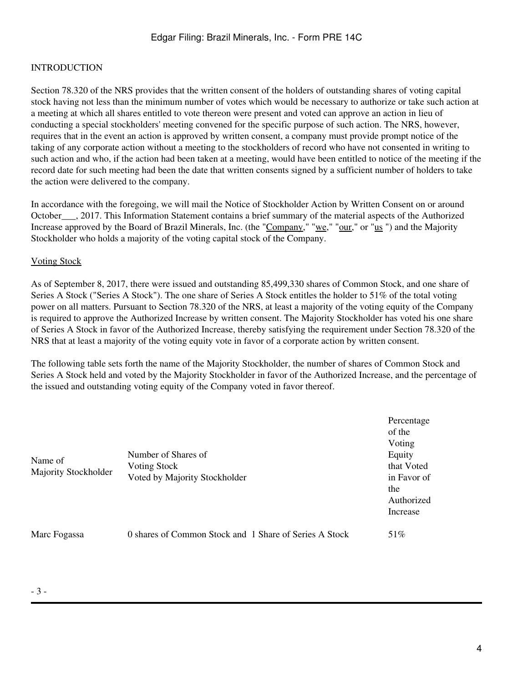## INTRODUCTION

Section 78.320 of the NRS provides that the written consent of the holders of outstanding shares of voting capital stock having not less than the minimum number of votes which would be necessary to authorize or take such action at a meeting at which all shares entitled to vote thereon were present and voted can approve an action in lieu of conducting a special stockholders' meeting convened for the specific purpose of such action. The NRS, however, requires that in the event an action is approved by written consent, a company must provide prompt notice of the taking of any corporate action without a meeting to the stockholders of record who have not consented in writing to such action and who, if the action had been taken at a meeting, would have been entitled to notice of the meeting if the record date for such meeting had been the date that written consents signed by a sufficient number of holders to take the action were delivered to the company.

In accordance with the foregoing, we will mail the Notice of Stockholder Action by Written Consent on or around October\_\_\_, 2017. This Information Statement contains a brief summary of the material aspects of the Authorized Increase approved by the Board of Brazil Minerals, Inc. (the "Company," "we," "our," or "us ") and the Majority Stockholder who holds a majority of the voting capital stock of the Company.

### Voting Stock

As of September 8, 2017, there were issued and outstanding 85,499,330 shares of Common Stock, and one share of Series A Stock ("Series A Stock"). The one share of Series A Stock entitles the holder to 51% of the total voting power on all matters. Pursuant to Section 78.320 of the NRS, at least a majority of the voting equity of the Company is required to approve the Authorized Increase by written consent. The Majority Stockholder has voted his one share of Series A Stock in favor of the Authorized Increase, thereby satisfying the requirement under Section 78.320 of the NRS that at least a majority of the voting equity vote in favor of a corporate action by written consent.

The following table sets forth the name of the Majority Stockholder, the number of shares of Common Stock and Series A Stock held and voted by the Majority Stockholder in favor of the Authorized Increase, and the percentage of the issued and outstanding voting equity of the Company voted in favor thereof.

| Name of<br>Majority Stockholder | Number of Shares of<br>Voting Stock<br>Voted by Majority Stockholder | Percentage<br>of the<br>Voting<br>Equity<br>that Voted<br>in Favor of<br>the<br>Authorized<br>Increase |
|---------------------------------|----------------------------------------------------------------------|--------------------------------------------------------------------------------------------------------|
| Marc Fogassa                    | 0 shares of Common Stock and 1 Share of Series A Stock               | 51%                                                                                                    |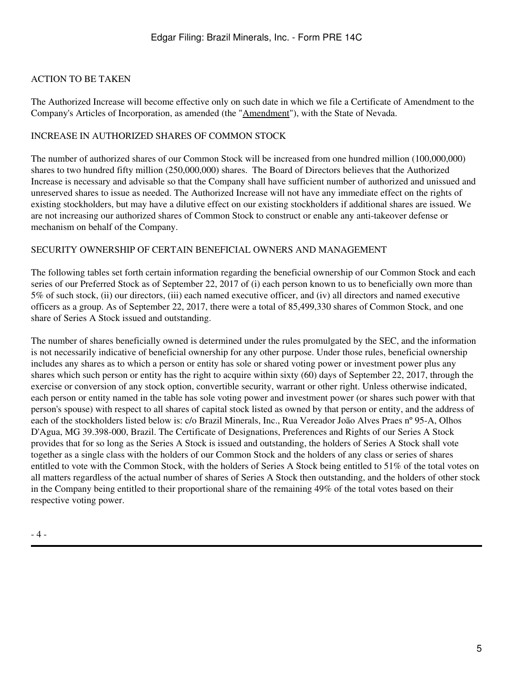## ACTION TO BE TAKEN

The Authorized Increase will become effective only on such date in which we file a Certificate of Amendment to the Company's Articles of Incorporation, as amended (the "Amendment"), with the State of Nevada.

### INCREASE IN AUTHORIZED SHARES OF COMMON STOCK

The number of authorized shares of our Common Stock will be increased from one hundred million (100,000,000) shares to two hundred fifty million (250,000,000) shares. The Board of Directors believes that the Authorized Increase is necessary and advisable so that the Company shall have sufficient number of authorized and unissued and unreserved shares to issue as needed. The Authorized Increase will not have any immediate effect on the rights of existing stockholders, but may have a dilutive effect on our existing stockholders if additional shares are issued. We are not increasing our authorized shares of Common Stock to construct or enable any anti-takeover defense or mechanism on behalf of the Company.

### SECURITY OWNERSHIP OF CERTAIN BENEFICIAL OWNERS AND MANAGEMENT

The following tables set forth certain information regarding the beneficial ownership of our Common Stock and each series of our Preferred Stock as of September 22, 2017 of (i) each person known to us to beneficially own more than 5% of such stock, (ii) our directors, (iii) each named executive officer, and (iv) all directors and named executive officers as a group. As of September 22, 2017, there were a total of 85,499,330 shares of Common Stock, and one share of Series A Stock issued and outstanding.

The number of shares beneficially owned is determined under the rules promulgated by the SEC, and the information is not necessarily indicative of beneficial ownership for any other purpose. Under those rules, beneficial ownership includes any shares as to which a person or entity has sole or shared voting power or investment power plus any shares which such person or entity has the right to acquire within sixty (60) days of September 22, 2017, through the exercise or conversion of any stock option, convertible security, warrant or other right. Unless otherwise indicated, each person or entity named in the table has sole voting power and investment power (or shares such power with that person's spouse) with respect to all shares of capital stock listed as owned by that person or entity, and the address of each of the stockholders listed below is: c/o Brazil Minerals, Inc., Rua Vereador João Alves Praes nº 95-A, Olhos D'Agua, MG 39.398-000, Brazil. The Certificate of Designations, Preferences and Rights of our Series A Stock provides that for so long as the Series A Stock is issued and outstanding, the holders of Series A Stock shall vote together as a single class with the holders of our Common Stock and the holders of any class or series of shares entitled to vote with the Common Stock, with the holders of Series A Stock being entitled to 51% of the total votes on all matters regardless of the actual number of shares of Series A Stock then outstanding, and the holders of other stock in the Company being entitled to their proportional share of the remaining 49% of the total votes based on their respective voting power.

- 4 -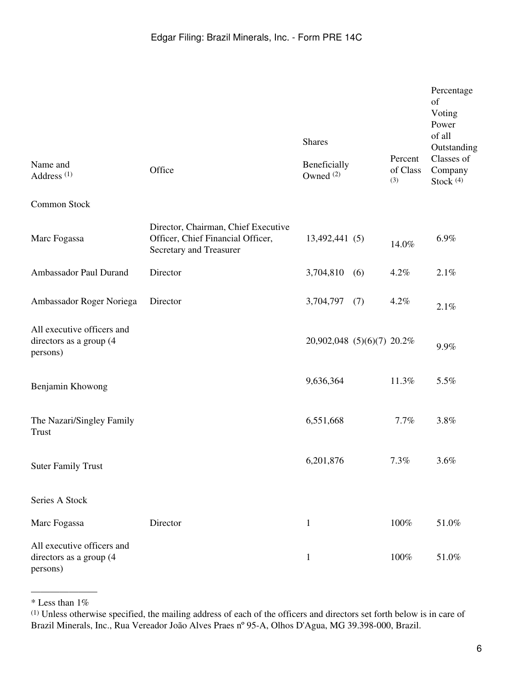|                                                                   |                                                                                                     | <b>Shares</b>                        |                            | Percentage<br>of<br>Voting<br>Power<br>of all<br>Outstanding |
|-------------------------------------------------------------------|-----------------------------------------------------------------------------------------------------|--------------------------------------|----------------------------|--------------------------------------------------------------|
| Name and<br>Address <sup>(1)</sup>                                | Office                                                                                              | Beneficially<br>Owned <sup>(2)</sup> | Percent<br>of Class<br>(3) | Classes of<br>Company<br>Stock $(4)$                         |
| Common Stock                                                      |                                                                                                     |                                      |                            |                                                              |
| Marc Fogassa                                                      | Director, Chairman, Chief Executive<br>Officer, Chief Financial Officer,<br>Secretary and Treasurer | 13,492,441 (5)                       | 14.0%                      | 6.9%                                                         |
| Ambassador Paul Durand                                            | Director                                                                                            | 3,704,810<br>(6)                     | 4.2%                       | 2.1%                                                         |
| Ambassador Roger Noriega                                          | Director                                                                                            | 3,704,797<br>(7)                     | 4.2%                       | 2.1%                                                         |
| All executive officers and<br>directors as a group (4<br>persons) |                                                                                                     | 20,902,048 (5)(6)(7) 20.2%           |                            | 9.9%                                                         |
| Benjamin Khowong                                                  |                                                                                                     | 9,636,364                            | 11.3%                      | 5.5%                                                         |
| The Nazari/Singley Family<br>Trust                                |                                                                                                     | 6,551,668                            | 7.7%                       | 3.8%                                                         |
| <b>Suter Family Trust</b>                                         |                                                                                                     | 6,201,876                            | 7.3%                       | 3.6%                                                         |
| Series A Stock                                                    |                                                                                                     |                                      |                            |                                                              |
| Marc Fogassa                                                      | Director                                                                                            | $\mathbf{1}$                         | 100%                       | 51.0%                                                        |
| All executive officers and<br>directors as a group (4<br>persons) |                                                                                                     | $\mathbf{1}$                         | 100%                       | 51.0%                                                        |

<sup>———————</sup>  $*$  Less than 1%

<sup>(1)</sup> Unless otherwise specified, the mailing address of each of the officers and directors set forth below is in care of Brazil Minerals, Inc., Rua Vereador João Alves Praes nº 95-A, Olhos D'Agua, MG 39.398-000, Brazil.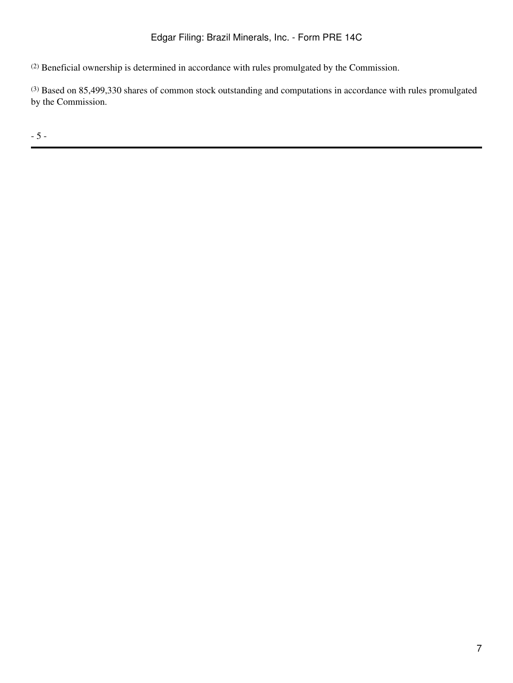(2) Beneficial ownership is determined in accordance with rules promulgated by the Commission.

(3) Based on 85,499,330 shares of common stock outstanding and computations in accordance with rules promulgated by the Commission.

- 5 -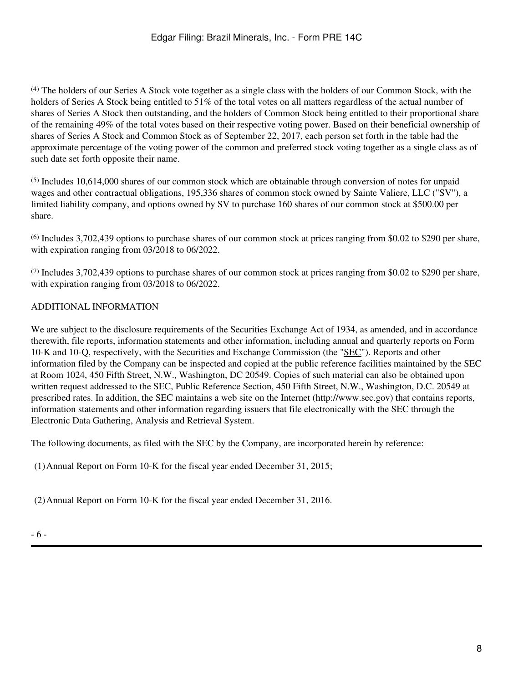(4) The holders of our Series A Stock vote together as a single class with the holders of our Common Stock, with the holders of Series A Stock being entitled to 51% of the total votes on all matters regardless of the actual number of shares of Series A Stock then outstanding, and the holders of Common Stock being entitled to their proportional share of the remaining 49% of the total votes based on their respective voting power. Based on their beneficial ownership of shares of Series A Stock and Common Stock as of September 22, 2017, each person set forth in the table had the approximate percentage of the voting power of the common and preferred stock voting together as a single class as of such date set forth opposite their name.

(5) Includes 10,614,000 shares of our common stock which are obtainable through conversion of notes for unpaid wages and other contractual obligations, 195,336 shares of common stock owned by Sainte Valiere, LLC ("SV"), a limited liability company, and options owned by SV to purchase 160 shares of our common stock at \$500.00 per share.

(6) Includes 3,702,439 options to purchase shares of our common stock at prices ranging from \$0.02 to \$290 per share, with expiration ranging from 03/2018 to 06/2022.

(7) Includes 3,702,439 options to purchase shares of our common stock at prices ranging from \$0.02 to \$290 per share, with expiration ranging from 03/2018 to 06/2022.

# ADDITIONAL INFORMATION

We are subject to the disclosure requirements of the Securities Exchange Act of 1934, as amended, and in accordance therewith, file reports, information statements and other information, including annual and quarterly reports on Form 10-K and 10-Q, respectively, with the Securities and Exchange Commission (the "SEC"). Reports and other information filed by the Company can be inspected and copied at the public reference facilities maintained by the SEC at Room 1024, 450 Fifth Street, N.W., Washington, DC 20549. Copies of such material can also be obtained upon written request addressed to the SEC, Public Reference Section, 450 Fifth Street, N.W., Washington, D.C. 20549 at prescribed rates. In addition, the SEC maintains a web site on the Internet (http://www.sec.gov) that contains reports, information statements and other information regarding issuers that file electronically with the SEC through the Electronic Data Gathering, Analysis and Retrieval System.

The following documents, as filed with the SEC by the Company, are incorporated herein by reference:

(1)Annual Report on Form 10-K for the fiscal year ended December 31, 2015;

(2)Annual Report on Form 10-K for the fiscal year ended December 31, 2016.

- 6 -